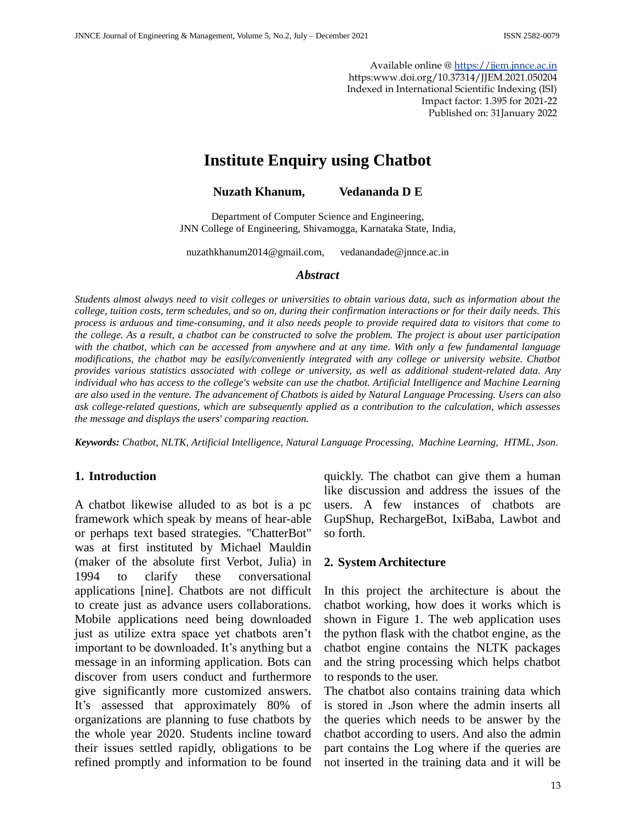Available online [@ https://jjem.jnnce.ac.in](https://jjem.jnnce.ac.in/) https:www.doi.org/10.37314/JJEM.2021.050204 Indexed in International Scientific Indexing (ISI) Impact factor: 1.395 for 2021-22 Published on: 31January 2022

# **Institute Enquiry using Chatbot**

**Nuzath Khanum, Vedananda D E**

Department of Computer Science and Engineering, JNN College of Engineering, Shivamogga, Karnataka State, India,

nuzathkhanum2014@gmail.com, vedanandade@jnnce.ac.in

#### *Abstract*

*Students almost always need to visit colleges or universities to obtain various data, such as information about the college, tuition costs, term schedules, and so on, during their confirmation interactions or for their daily needs. This process is arduous and time-consuming, and it also needs people to provide required data to visitors that come to the college. As a result, a chatbot can be constructed to solve the problem. The project is about user participation with the chatbot, which can be accessed from anywhere and at any time. With only a few fundamental language modifications, the chatbot may be easily/conveniently integrated with any college or university website. Chatbot provides various statistics associated with college or university, as well as additional student-related data. Any individual who has access to the college's website can use the chatbot. Artificial Intelligence and Machine Learning are also used in the venture. The advancement of Chatbots is aided by Natural Language Processing. Users can also ask college-related questions, which are subsequently applied as a contribution to the calculation, which assesses the message and displays the users' comparing reaction.*

*Keywords: Chatbot, NLTK, Artificial Intelligence, Natural Language Processing, Machine Learning, HTML, Json.*

#### **1. Introduction**

A chatbot likewise alluded to as bot is a pc framework which speak by means of hear-able or perhaps text based strategies. "ChatterBot" was at first instituted by Michael Mauldin (maker of the absolute first Verbot, Julia) in 1994 to clarify these conversational applications [nine]. Chatbots are not difficult to create just as advance users collaborations. Mobile applications need being downloaded just as utilize extra space yet chatbots aren't important to be downloaded. It's anything but a message in an informing application. Bots can discover from users conduct and furthermore give significantly more customized answers. It's assessed that approximately 80% of organizations are planning to fuse chatbots by the whole year 2020. Students incline toward their issues settled rapidly, obligations to be refined promptly and information to be found

quickly. The chatbot can give them a human like discussion and address the issues of the users. A few instances of chatbots are GupShup, RechargeBot, IxiBaba, Lawbot and so forth.

#### **2. System Architecture**

In this project the architecture is about the chatbot working, how does it works which is shown in Figure 1. The web application uses the python flask with the chatbot engine, as the chatbot engine contains the NLTK packages and the string processing which helps chatbot to responds to the user.

The chatbot also contains training data which is stored in .Json where the admin inserts all the queries which needs to be answer by the chatbot according to users. And also the admin part contains the Log where if the queries are not inserted in the training data and it will be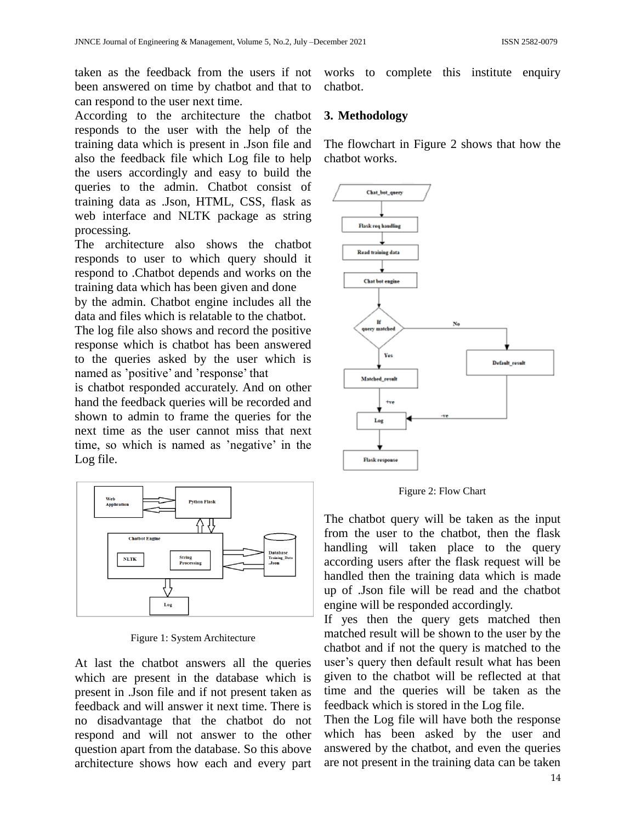taken as the feedback from the users if not been answered on time by chatbot and that to can respond to the user next time.

According to the architecture the chatbot responds to the user with the help of the training data which is present in .Json file and also the feedback file which Log file to help the users accordingly and easy to build the queries to the admin. Chatbot consist of training data as .Json, HTML, CSS, flask as web interface and NLTK package as string processing.

The architecture also shows the chatbot responds to user to which query should it respond to .Chatbot depends and works on the training data which has been given and done by the admin. Chatbot engine includes all the

data and files which is relatable to the chatbot.

The log file also shows and record the positive response which is chatbot has been answered to the queries asked by the user which is named as 'positive' and 'response' that

is chatbot responded accurately. And on other hand the feedback queries will be recorded and shown to admin to frame the queries for the next time as the user cannot miss that next time, so which is named as 'negative' in the Log file.



Figure 1: System Architecture

At last the chatbot answers all the queries which are present in the database which is present in .Json file and if not present taken as feedback and will answer it next time. There is no disadvantage that the chatbot do not respond and will not answer to the other question apart from the database. So this above architecture shows how each and every part works to complete this institute enquiry chatbot.

### **3. Methodology**

The flowchart in Figure 2 shows that how the chatbot works.



Figure 2: Flow Chart

The chatbot query will be taken as the input from the user to the chatbot, then the flask handling will taken place to the query according users after the flask request will be handled then the training data which is made up of .Json file will be read and the chatbot engine will be responded accordingly.

If yes then the query gets matched then matched result will be shown to the user by the chatbot and if not the query is matched to the user's query then default result what has been given to the chatbot will be reflected at that time and the queries will be taken as the feedback which is stored in the Log file.

Then the Log file will have both the response which has been asked by the user and answered by the chatbot, and even the queries are not present in the training data can be taken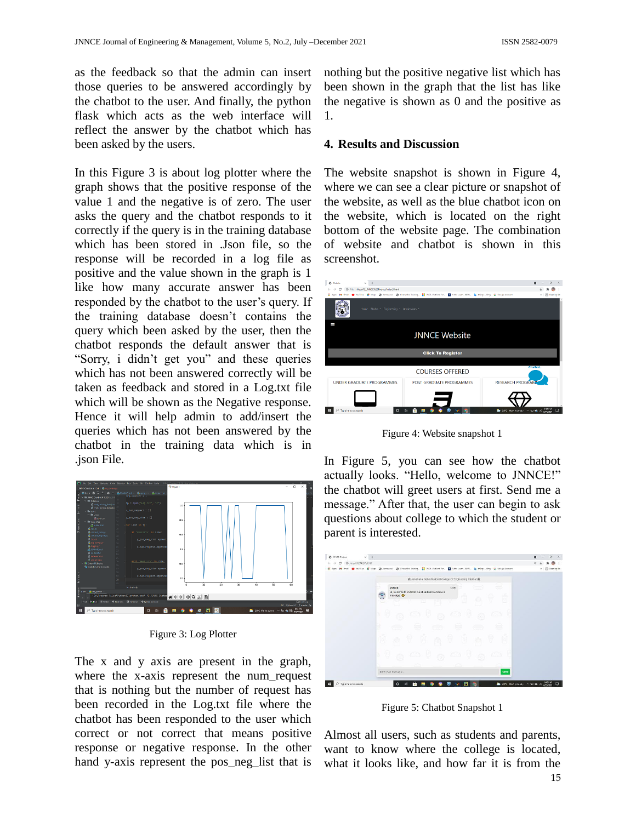as the feedback so that the admin can insert those queries to be answered accordingly by the chatbot to the user. And finally, the python flask which acts as the web interface will reflect the answer by the chatbot which has been asked by the users.

In this Figure 3 is about log plotter where the graph shows that the positive response of the value 1 and the negative is of zero. The user asks the query and the chatbot responds to it correctly if the query is in the training database which has been stored in .Json file, so the response will be recorded in a log file as positive and the value shown in the graph is 1 like how many accurate answer has been responded by the chatbot to the user's query. If the training database doesn't contains the query which been asked by the user, then the chatbot responds the default answer that is "Sorry, i didn't get you" and these queries which has not been answered correctly will be taken as feedback and stored in a Log.txt file which will be shown as the Negative response. Hence it will help admin to add/insert the queries which has not been answered by the chatbot in the training data which is in .json File.



Figure 3: Log Plotter

The x and y axis are present in the graph, where the x-axis represent the num request that is nothing but the number of request has been recorded in the Log.txt file where the chatbot has been responded to the user which correct or not correct that means positive response or negative response. In the other hand y-axis represent the pos\_neg\_list that is

nothing but the positive negative list which has been shown in the graph that the list has like the negative is shown as 0 and the positive as 1.

#### **4. Results and Discussion**

The website snapshot is shown in Figure 4, where we can see a clear picture or snapshot of the website, as well as the blue chatbot icon on the website, which is located on the right bottom of the website page. The combination of website and chatbot is shown in this screenshot.



Figure 4: Website snapshot 1

In Figure 5, you can see how the chatbot actually looks. "Hello, welcome to JNNCE!" the chatbot will greet users at first. Send me a message." After that, the user can begin to ask questions about college to which the student or parent is interested.

| @ INNCE Chatbot<br>$x +$                       |                                                                                                                                      | o<br>$\times$<br>$\circ$   |
|------------------------------------------------|--------------------------------------------------------------------------------------------------------------------------------------|----------------------------|
| @ http://127.0.0.1:9337<br>$\circ$<br>k.<br>÷. |                                                                                                                                      | a                          |
| III Apps<br><b>By</b><br>Gmail                 | O YouTube E Maps @ Announce   @ Chatterlasticating   SACL-Rations for.     Mitia Learn - NEW.       Integra-ling   G. Gaugie-Account | <b>EE</b> Reading Fat<br>× |
|                                                | 查 Jawahartal Nehru National College Of Engineering Chatbot 叠                                                                         |                            |
|                                                |                                                                                                                                      |                            |
|                                                | ÷<br>12.45<br><b>JNNCE</b>                                                                                                           |                            |
|                                                | Hi, welcome to JNNCEI Go atlead and send me a<br>ō<br>ă<br>æ<br>message.<br>a.                                                       |                            |
|                                                | ìо<br>v                                                                                                                              |                            |
|                                                |                                                                                                                                      |                            |
|                                                |                                                                                                                                      |                            |
|                                                |                                                                                                                                      |                            |
|                                                |                                                                                                                                      |                            |
|                                                |                                                                                                                                      |                            |
|                                                | ឆឹ<br>9<br>e<br>ធ                                                                                                                    |                            |
|                                                |                                                                                                                                      |                            |
|                                                |                                                                                                                                      |                            |
|                                                | Ġ.                                                                                                                                   |                            |
|                                                | c.                                                                                                                                   |                            |
|                                                | Enter your message.<br>Send                                                                                                          |                            |
|                                                |                                                                                                                                      |                            |

Figure 5: Chatbot Snapshot 1

Almost all users, such as students and parents, want to know where the college is located, what it looks like, and how far it is from the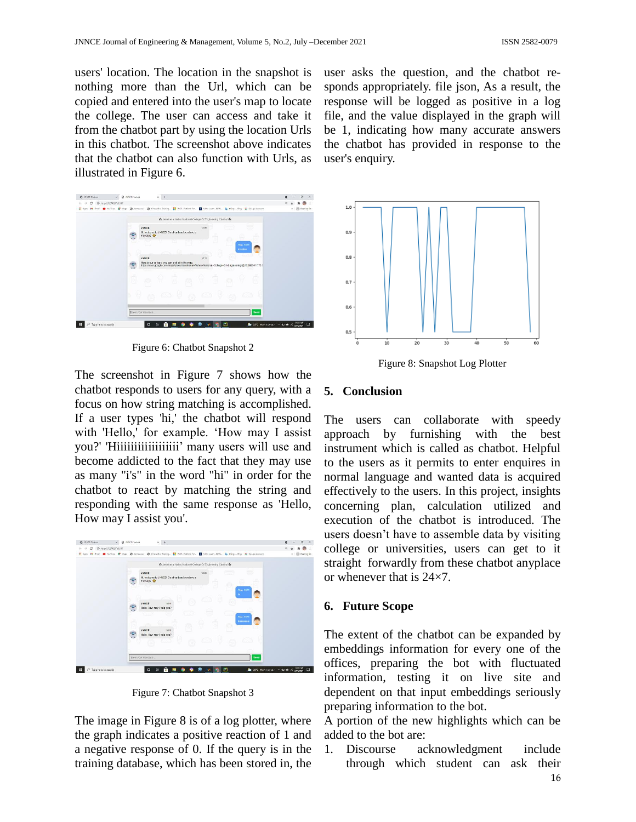users' location. The location in the snapshot is nothing more than the Url, which can be copied and entered into the user's map to locate the college. The user can access and take it from the chatbot part by using the location Urls in this chatbot. The screenshot above indicates that the chatbot can also function with Urls, as illustrated in Figure 6.



Figure 6: Chatbot Snapshot 2

The screenshot in Figure 7 shows how the chatbot responds to users for any query, with a focus on how string matching is accomplished. If a user types 'hi,' the chatbot will respond with 'Hello,' for example. 'How may I assist you?' 'Hiiiiiiiiiiiiiiiiii' many users will use and become addicted to the fact that they may use as many "i's" in the word "hi" in order for the chatbot to react by matching the string and responding with the same response as 'Hello, How may I assist you'.



Figure 7: Chatbot Snapshot 3

The image in Figure 8 is of a log plotter, where the graph indicates a positive reaction of 1 and a negative response of 0. If the query is in the training database, which has been stored in, the user asks the question, and the chatbot responds appropriately. file json, As a result, the response will be logged as positive in a log file, and the value displayed in the graph will be 1, indicating how many accurate answers the chatbot has provided in response to the user's enquiry.



Figure 8: Snapshot Log Plotter

#### **5. Conclusion**

The users can collaborate with speedy approach by furnishing with the best instrument which is called as chatbot. Helpful to the users as it permits to enter enquires in normal language and wanted data is acquired effectively to the users. In this project, insights concerning plan, calculation utilized and execution of the chatbot is introduced. The users doesn't have to assemble data by visiting college or universities, users can get to it straight forwardly from these chatbot anyplace or whenever that is 24×7.

## **6. Future Scope**

The extent of the chatbot can be expanded by embeddings information for every one of the offices, preparing the bot with fluctuated information, testing it on live site and dependent on that input embeddings seriously preparing information to the bot.

A portion of the new highlights which can be added to the bot are:

1. Discourse acknowledgment include through which student can ask their